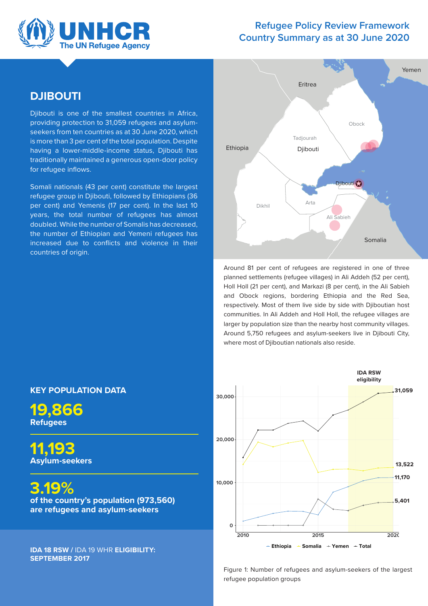

### **Refugee Policy Review Framework Country Summary as at 30 June 2020**

## **DJIBOUTI**

Djibouti is one of the smallest countries in Africa, providing protection to 31,059 refugees and asylumseekers from ten countries as at 30 June 2020, which is more than 3 per cent of the total population. Despite having a lower-middle-income status, Djibouti has traditionally maintained a generous open-door policy for refugee inflows.

Somali nationals (43 per cent) constitute the largest refugee group in Djibouti, followed by Ethiopians (36 per cent) and Yemenis (17 per cent). In the last 10 years, the total number of refugees has almost doubled. While the number of Somalis has decreased, the number of Ethiopian and Yemeni refugees has increased due to conflicts and violence in their countries of origin.



Around 81 per cent of refugees are registered in one of three planned settlements (refugee villages) in Ali Addeh (52 per cent), Holl Holl (21 per cent), and Markazi (8 per cent), in the Ali Sabieh and Obock regions, bordering Ethiopia and the Red Sea, respectively. Most of them live side by side with Djiboutian host communities. In Ali Addeh and Holl Holl, the refugee villages are larger by population size than the nearby host community villages. Around 5,750 refugees and asylum-seekers live in Djibouti City, where most of Djiboutian nationals also reside.



Figure 1: Number of refugees and asylum-seekers of the largest refugee population groups

### **KEY POPULATION DATA**

**19,866 Refugees** 

**11,193 Asylum-seekers** 

**3.19%** 

**of the country's population (973,560) are refugees and asylum-seekers** 

**IDA 18 RSW /** IDA 19 WHR **ELIGIBILITY: SEPTEMBER 2017**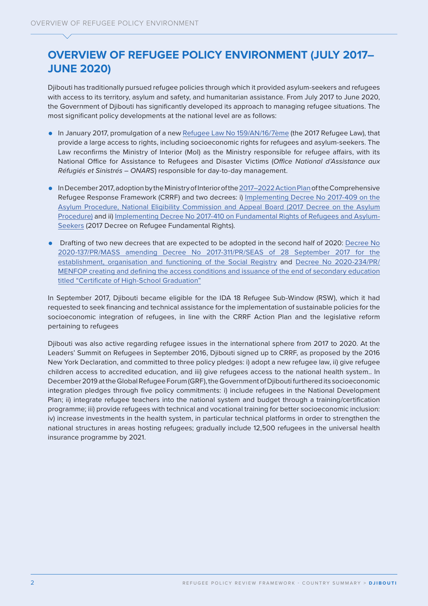# **OVERVIEW OF REFUGEE POLICY ENVIRONMENT (JULY 2017– JUNE 2020)**

Djibouti has traditionally pursued refugee policies through which it provided asylum-seekers and refugees with access to its territory, asylum and safety, and humanitarian assistance. From July 2017 to June 2020, the Government of Djibouti has significantly developed its approach to managing refugee situations. The most significant policy developments at the national level are as follows:

- **•** In January 2017, promulgation of a new [Refugee Law No 159/AN/16/7ème](https://www.presidence.dj/texte.php?ID=159&ID2=2017-01-05&ID3=Loi&ID4=1&ID5=2017-01-15&ID6=n) (the 2017 Refugee Law), that provide a large access to rights, including socioeconomic rights for refugees and asylum-seekers. The Law reconfirms the Ministry of Interior (MoI) as the Ministry responsible for refugee affairs, with its National Office for Assistance to Refugees and Disaster Victims (*Office National d'Assistance aux Réfugiés et Sinistrés – ONARS*) responsible for day-to-day management.
- **•** In December 2017, adoption by the Ministry of Interior of the [2017–2022 Action Plan](https://eur02.safelinks.protection.outlook.com/?url=https%3A%2F%2Fglobalcompactrefugees.org%2Fsites%2Fdefault%2Ffiles%2F2019-12%2FDjibouti%2520Plan%2520d%25E2%2580%2599Action%2520National%2520CRRF%2520(2017).pdf&data=04%7C01%7CVANKEMPE%40unhcr.org%7C834bf84d43e0405d619e08d8f50bb4df%7Ce5c37981666441348a0c6543d2af80be%7C0%7C0%7C637528777914648537%7CUnknown%7CTWFpbGZsb3d8eyJWIjoiMC4wLjAwMDAiLCJQIjoiV2luMzIiLCJBTiI6Ik1haWwiLCJXVCI6Mn0%3D%7C1000&sdata=r5i1nRUTUipuGPtb7EjPrJKfeaZyIMCID5J%2BsXsjkns%3D&reserved=0) of the Comprehensive Refugee Response Framework (CRRF) and two decrees: i) [Implementing Decree No 2017-409 on the](https://eur02.safelinks.protection.outlook.com/?url=https%3A%2F%2Fwww.presidence.dj%2Ftexte.php%3FID%3D2017-409%26ID2%3D2017-12-07%26ID3%3DD%25E9cret%26ID4%3D23%26ID5%3D2017-12-14%26ID6%3Dn&data=04%7C01%7CVANKEMPE%40unhcr.org%7C834bf84d43e0405d619e08d8f50bb4df%7Ce5c37981666441348a0c6543d2af80be%7C0%7C0%7C637528777914648537%7CUnknown%7CTWFpbGZsb3d8eyJWIjoiMC4wLjAwMDAiLCJQIjoiV2luMzIiLCJBTiI6Ik1haWwiLCJXVCI6Mn0%3D%7C1000&sdata=a5QqTCQ9QZ0MxRaEFPoqoNEqqhl4zTJC53KbVMHye0w%3D&reserved=0)  [Asylum Procedure, National Eligibility Commission and Appeal Board \(2017 Decree on the Asylum](https://eur02.safelinks.protection.outlook.com/?url=https%3A%2F%2Fwww.presidence.dj%2Ftexte.php%3FID%3D2017-409%26ID2%3D2017-12-07%26ID3%3DD%25E9cret%26ID4%3D23%26ID5%3D2017-12-14%26ID6%3Dn&data=04%7C01%7CVANKEMPE%40unhcr.org%7C834bf84d43e0405d619e08d8f50bb4df%7Ce5c37981666441348a0c6543d2af80be%7C0%7C0%7C637528777914648537%7CUnknown%7CTWFpbGZsb3d8eyJWIjoiMC4wLjAwMDAiLCJQIjoiV2luMzIiLCJBTiI6Ik1haWwiLCJXVCI6Mn0%3D%7C1000&sdata=a5QqTCQ9QZ0MxRaEFPoqoNEqqhl4zTJC53KbVMHye0w%3D&reserved=0)  [Procedure\)](https://eur02.safelinks.protection.outlook.com/?url=https%3A%2F%2Fwww.presidence.dj%2Ftexte.php%3FID%3D2017-409%26ID2%3D2017-12-07%26ID3%3DD%25E9cret%26ID4%3D23%26ID5%3D2017-12-14%26ID6%3Dn&data=04%7C01%7CVANKEMPE%40unhcr.org%7C834bf84d43e0405d619e08d8f50bb4df%7Ce5c37981666441348a0c6543d2af80be%7C0%7C0%7C637528777914648537%7CUnknown%7CTWFpbGZsb3d8eyJWIjoiMC4wLjAwMDAiLCJQIjoiV2luMzIiLCJBTiI6Ik1haWwiLCJXVCI6Mn0%3D%7C1000&sdata=a5QqTCQ9QZ0MxRaEFPoqoNEqqhl4zTJC53KbVMHye0w%3D&reserved=0) and ii) [Implementing Decree No 2017-410 on Fundamental Rights of Refugees and Asylum-](https://eur02.safelinks.protection.outlook.com/?url=https%3A%2F%2Fwww.presidence.dj%2Ftexte.php%3FID%3D2017-410%26ID2%3D2017-12-07%26ID3%3DD%25E9cret%26ID4%3D23%26ID5%3D2017-12-14%26ID6%3Dn&data=04%7C01%7CVANKEMPE%40unhcr.org%7C834bf84d43e0405d619e08d8f50bb4df%7Ce5c37981666441348a0c6543d2af80be%7C0%7C0%7C637528777914648537%7CUnknown%7CTWFpbGZsb3d8eyJWIjoiMC4wLjAwMDAiLCJQIjoiV2luMzIiLCJBTiI6Ik1haWwiLCJXVCI6Mn0%3D%7C1000&sdata=Im51VrHeAjvYGQLj9Azo%2FUiQv41%2F1eK7Fh0O5Hz8DzI%3D&reserved=0)[Seekers](https://eur02.safelinks.protection.outlook.com/?url=https%3A%2F%2Fwww.presidence.dj%2Ftexte.php%3FID%3D2017-410%26ID2%3D2017-12-07%26ID3%3DD%25E9cret%26ID4%3D23%26ID5%3D2017-12-14%26ID6%3Dn&data=04%7C01%7CVANKEMPE%40unhcr.org%7C834bf84d43e0405d619e08d8f50bb4df%7Ce5c37981666441348a0c6543d2af80be%7C0%7C0%7C637528777914648537%7CUnknown%7CTWFpbGZsb3d8eyJWIjoiMC4wLjAwMDAiLCJQIjoiV2luMzIiLCJBTiI6Ik1haWwiLCJXVCI6Mn0%3D%7C1000&sdata=Im51VrHeAjvYGQLj9Azo%2FUiQv41%2F1eK7Fh0O5Hz8DzI%3D&reserved=0) (2017 Decree on Refugee Fundamental Rights).
- **•** Drafting of two new decrees that are expected to be adopted in the second half of 2020: [Decree No](https://www.presidence.dj/texte.php?ID=2020-137&ID2=2020-07-08&ID3=D%E9cret&ID4=13&ID5=2020-07-13&ID6=n)  [2020-137/PR/MASS amending Decree No 2017-311/PR/SEAS of 28 September 2017 for the](https://www.presidence.dj/texte.php?ID=2020-137&ID2=2020-07-08&ID3=D%E9cret&ID4=13&ID5=2020-07-13&ID6=n)  [establishment, organisation and functioning of the Social Registry](https://www.presidence.dj/texte.php?ID=2020-137&ID2=2020-07-08&ID3=D%E9cret&ID4=13&ID5=2020-07-13&ID6=n) and [Decree No 2020-234/PR/](https://www.presidence.dj/texte.php?ID=2020-234&ID2=2020-09-14&ID3=D%E9cret&ID4=17&ID5=2020-09-15&ID6=n) [MENFOP creating and defining the access conditions and issuance of the end of secondary education](https://www.presidence.dj/texte.php?ID=2020-234&ID2=2020-09-14&ID3=D%E9cret&ID4=17&ID5=2020-09-15&ID6=n)  [titled "Certificate of High-School Graduation"](https://www.presidence.dj/texte.php?ID=2020-234&ID2=2020-09-14&ID3=D%E9cret&ID4=17&ID5=2020-09-15&ID6=n)

In September 2017, Djibouti became eligible for the IDA 18 Refugee Sub-Window (RSW), which it had requested to seek financing and technical assistance for the implementation of sustainable policies for the socioeconomic integration of refugees, in line with the CRRF Action Plan and the legislative reform pertaining to refugees

Djibouti was also active regarding refugee issues in the international sphere from 2017 to 2020. At the Leaders' Summit on Refugees in September 2016, Djibouti signed up to CRRF, as proposed by the 2016 New York Declaration, and committed to three policy pledges: i) adopt a new refugee law, ii) give refugee children access to accredited education, and iii) give refugees access to the national health system.. In December 2019 at the Global Refugee Forum (GRF), the Government of Djibouti furthered its socioeconomic integration pledges through five policy commitments: i) include refugees in the National Development Plan; ii) integrate refugee teachers into the national system and budget through a training/certification programme; iii) provide refugees with technical and vocational training for better socioeconomic inclusion: iv) increase investments in the health system, in particular technical platforms in order to strengthen the national structures in areas hosting refugees; gradually include 12,500 refugees in the universal health insurance programme by 2021.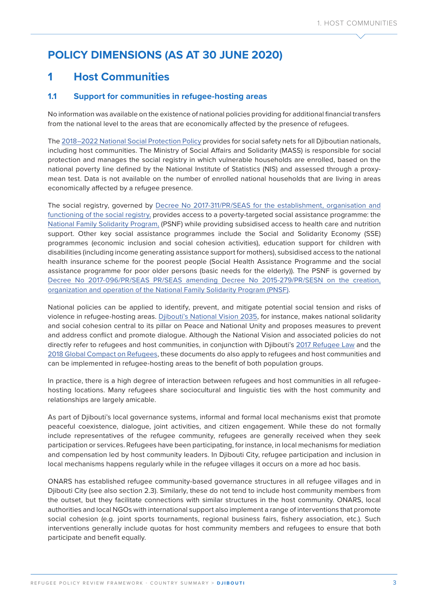# **POLICY DIMENSIONS (AS AT 30 JUNE 2020)**

# **1 Host Communities**

### **1.1 Support for communities in refugee-hosting areas**

No information was available on the existence of national policies providing for additional financial transfers from the national level to the areas that are economically affected by the presence of refugees.

The [2018–2022 National Social Protection Policy](https://www.presidence.dj/texte.php?ID=043&ID2=2019-06-23&ID3=Loi&ID4=12&ID5=2019-06-30&ID6=n) provides for social safety nets for all Djiboutian nationals, including host communities. The Ministry of Social Affairs and Solidarity (MASS) is responsible for social protection and manages the social registry in which vulnerable households are enrolled, based on the national poverty line defined by the National Institute of Statistics (NIS) and assessed through a proxymean test. Data is not available on the number of enrolled national households that are living in areas economically affected by a refugee presence.

The social registry, governed by [Decree No 2017-311/PR/SEAS for the establishment, organisation and](https://www.presidence.dj/texte.php?ID=2017-311&ID2=2017-09-28&ID3=D%E9cret&ID4=18&ID5=2017-09-28&ID6=n)  [functioning of the social registry,](https://www.presidence.dj/texte.php?ID=2017-311&ID2=2017-09-28&ID3=D%E9cret&ID4=18&ID5=2017-09-28&ID6=n) provides access to a poverty-targeted social assistance programme: the [National Family Solidarity Program,](https://socialprotection.org/discover/programmes/programme-national-de-solidarit%C3%A9-famille-pnsf%E2%80%94national-programme-family) (PSNF) while providing subsidised access to health care and nutrition support. Other key social assistance programmes include the Social and Solidarity Economy (SSE) programmes (economic inclusion and social cohesion activities), education support for children with disabilities (including income generating assistance support for mothers), subsidised access to the national health insurance scheme for the poorest people (Social Health Assistance Programme and the social assistance programme for poor older persons (basic needs for the elderly)). The PSNF is governed by [Decree No 2017-096/PR/SEAS PR/SEAS amending Decree No 2015-279/PR/SESN on the creation,](https://sociales.gouv.dj/uploads/Categorie/146f0bd3773f38ec5590987a402c0a0b.pdf)  [organization and operation of the National Family Solidarity Program \(PNSF\).](https://sociales.gouv.dj/uploads/Categorie/146f0bd3773f38ec5590987a402c0a0b.pdf)

National policies can be applied to identify, prevent, and mitigate potential social tension and risks of violence in refugee-hosting areas. [Djibouti's National Vision 2035,](https://www.ccd.dj/w2017/wp-content/uploads/2016/01/Vision-Nationale.pdf) for instance, makes national solidarity and social cohesion central to its pillar on Peace and National Unity and proposes measures to prevent and address conflict and promote dialogue. Although the National Vision and associated policies do not directly refer to refugees and host communities, in conjunction with Djibouti's [2017 Refugee Law](https://www.presidence.dj/texte.php?ID=159&ID2=2017-01-05&ID3=Loi&ID4=1&ID5=2017-01-15&ID6=n) and the [2018 Global Compact on Refugees](https://www.unhcr.org/5c658aed4.pdf), these documents do also apply to refugees and host communities and can be implemented in refugee-hosting areas to the benefit of both population groups.

In practice, there is a high degree of interaction between refugees and host communities in all refugeehosting locations. Many refugees share sociocultural and linguistic ties with the host community and relationships are largely amicable.

As part of Djibouti's local governance systems, informal and formal local mechanisms exist that promote peaceful coexistence, dialogue, joint activities, and citizen engagement. While these do not formally include representatives of the refugee community, refugees are generally received when they seek participation or services. Refugees have been participating, for instance, in local mechanisms for mediation and compensation led by host community leaders. In Djibouti City, refugee participation and inclusion in local mechanisms happens regularly while in the refugee villages it occurs on a more ad hoc basis.

ONARS has established refugee community-based governance structures in all refugee villages and in Djibouti City (see also section 2.3). Similarly, these do not tend to include host community members from the outset, but they facilitate connections with similar structures in the host community. ONARS, local authorities and local NGOs with international support also implement a range of interventions that promote social cohesion (e.g. joint sports tournaments, regional business fairs, fishery association, etc.). Such interventions generally include quotas for host community members and refugees to ensure that both participate and benefit equally.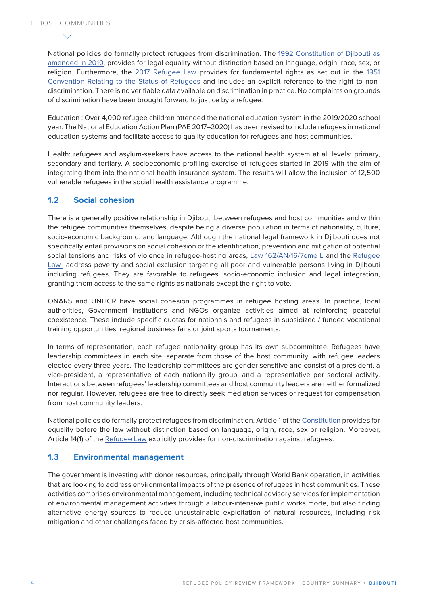National policies do formally protect refugees from discrimination. The [1992 Constitution of Djibouti as](http://extwprlegs1.fao.org/docs/pdf/dji128666.pdf)  [amended in 2010](http://extwprlegs1.fao.org/docs/pdf/dji128666.pdf), provides for legal equality without distinction based on language, origin, race, sex, or religion. Furthermore, th[e 2017 Refugee Law](file:///C:\Users\Laura_de_Somer\AppData\Local\Microsoft\Windows\INetCache\Content.Outlook\1YZXEDNW\Présidence%20de%20la%20République%20de%20Djibouti%20(presidence.dj) provides for fundamental rights as set out in the [1951](https://www.refworld.org/cgi-bin/texis/vtx/rwmain?page=search&docid=3be01b964&skip=0&query=refugee%20convention%201951)  [Convention Relating to the Status of Refugees](https://www.refworld.org/cgi-bin/texis/vtx/rwmain?page=search&docid=3be01b964&skip=0&query=refugee%20convention%201951) and includes an explicit reference to the right to nondiscrimination. There is no verifiable data available on discrimination in practice. No complaints on grounds of discrimination have been brought forward to justice by a refugee.

Education : Over 4,000 refugee children attended the national education system in the 2019/2020 school year. The National Education Action Plan (PAE 2017–2020) has been revised to include refugees in national education systems and facilitate access to quality education for refugees and host communities.

Health: refugees and asylum-seekers have access to the national health system at all levels: primary, secondary and tertiary. A socioeconomic profiling exercise of refugees started in 2019 with the aim of integrating them into the national health insurance system. The results will allow the inclusion of 12,500 vulnerable refugees in the social health assistance programme.

### **1.2 Social cohesion**

There is a generally positive relationship in Djibouti between refugees and host communities and within the refugee communities themselves, despite being a diverse population in terms of nationality, culture, socio-economic background, and language. Although the national legal framework in Djibouti does not specifically entail provisions on social cohesion or the identification, prevention and mitigation of potential social tensions and risks of violence in refugee-hosting areas, [Law 162/AN/16/7eme L](https://eur02.safelinks.protection.outlook.com/?url=https%3A%2F%2Fwww.presidence.dj%2Ftexte.php%3FID%3D162%26ID2%3D2017-01-05%26ID3%3DLoi%26ID4%3D1%26ID5%3D2017-01-15%26ID6%3Dn&data=04%7C01%7Ccisse%40unhcr.org%7Ceea77dcf3c3a4b1a12ad08d924ac7a69%7Ce5c37981666441348a0c6543d2af80be%7C0%7C0%7C637581145474240554%7CUnknown%7CTWFpbGZsb3d8eyJWIjoiMC4wLjAwMDAiLCJQIjoiV2luMzIiLCJBTiI6Ik1haWwiLCJXVCI6Mn0%3D%7C1000&sdata=D9wVDv14pLs%2BDexPXdSU1q8dtrCOlCALKBvyikZHiZ8%3D&reserved=0) and the [Refugee](https://www.presidence.dj/texte.php?ID=159&ID2=2017-01-05&ID3=Loi&ID4=1&ID5=2017-01-15&ID6=n)  [Law](https://www.presidence.dj/texte.php?ID=159&ID2=2017-01-05&ID3=Loi&ID4=1&ID5=2017-01-15&ID6=n) address poverty and social exclusion targeting all poor and vulnerable persons living in Djibouti including refugees. They are favorable to refugees' socio-economic inclusion and legal integration, granting them access to the same rights as nationals except the right to vote.

ONARS and UNHCR have social cohesion programmes in refugee hosting areas. In practice, local authorities, Government institutions and NGOs organize activities aimed at reinforcing peaceful coexistence. These include specific quotas for nationals and refugees in subsidized / funded vocational training opportunities, regional business fairs or joint sports tournaments.

In terms of representation, each refugee nationality group has its own subcommittee. Refugees have leadership committees in each site, separate from those of the host community, with refugee leaders elected every three years. The leadership committees are gender sensitive and consist of a president, a vice-president, a representative of each nationality group, and a representative per sectoral activity. Interactions between refugees' leadership committees and host community leaders are neither formalized nor regular. However, refugees are free to directly seek mediation services or request for compensation from host community leaders.

National policies do formally protect refugees from discrimination. Article 1 of the [Constitution](http://extwprlegs1.fao.org/docs/pdf/dji128666.pdf) provides for equality before the law without distinction based on language, origin, race, sex or religion. Moreover, Article 14(1) of the [Refugee Law](https://www.presidence.dj/texte.php?ID=159&ID2=2017-01-05&ID3=Loi&ID4=1&ID5=2017-01-15&ID6=n) explicitly provides for non-discrimination against refugees.

### **1.3 Environmental management**

The government is investing with donor resources, principally through World Bank operation, in activities that are looking to address environmental impacts of the presence of refugees in host communities. These activities comprises environmental management, including technical advisory services for implementation of environmental management activities through a labour-intensive public works mode, but also finding alternative energy sources to reduce unsustainable exploitation of natural resources, including risk mitigation and other challenges faced by crisis-affected host communities.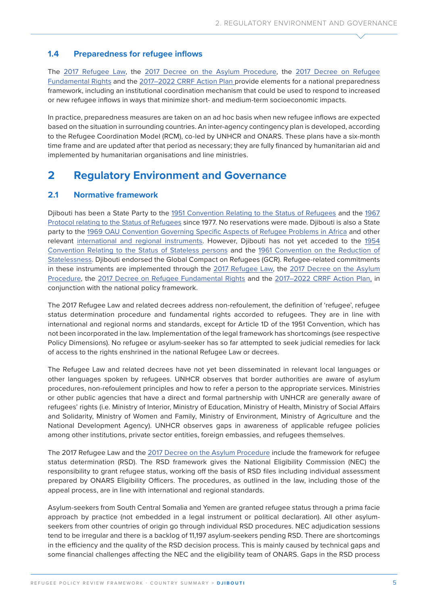### **1.4 Preparedness for refugee inflows**

The [2017 Refugee Law,](https://www.presidence.dj/texte.php?ID=159&ID2=2017-01-05&ID3=Loi&ID4=1&ID5=2017-01-15&ID6=n) the [2017 Decree on the Asylum Procedure,](https://www.presidence.dj/texte.php?ID=2017-409&ID2=2017-12-07&ID3=D%E9cret&ID4=23&ID5=2017-12-14&ID6=n) the [2017 Decree on Refugee](https://www.presidence.dj/texte.php?ID=2017-410&ID2=2017-12-07&ID3=D%E9cret&ID4=23&ID5=2017-12-14&ID6=n)  [Fundamental Rights](https://www.presidence.dj/texte.php?ID=2017-410&ID2=2017-12-07&ID3=D%E9cret&ID4=23&ID5=2017-12-14&ID6=n) and the [2017–2022 CRRF Action Plan](https://globalcompactrefugees.org/sites/default/files/2019-12/Djibouti%20Plan%20d%E2%80%99Action%20National%20CRRF%20%282017%29.pdf) provide elements for a national preparedness framework, including an institutional coordination mechanism that could be used to respond to increased or new refugee inflows in ways that minimize short- and medium-term socioeconomic impacts.

In practice, preparedness measures are taken on an ad hoc basis when new refugee inflows are expected based on the situation in surrounding countries. An inter-agency contingency plan is developed, according to the Refugee Coordination Model (RCM), co-led by UNHCR and ONARS. These plans have a six-month time frame and are updated after that period as necessary; they are fully financed by humanitarian aid and implemented by humanitarian organisations and line ministries.

### **2 Regulatory Environment and Governance**

#### **2.1 Normative framework**

Djibouti has been a State Party to the [1951 Convention Relating to the Status of Refugees](https://www.refworld.org/cgi-bin/texis/vtx/rwmain?page=search&docid=3be01b964&skip=0&query=refugee%20convention%201951) and the [1967](https://www.refworld.org/docid/3ae6b3ae4.html)  [Protocol relating to the Status of Refugees](https://www.refworld.org/docid/3ae6b3ae4.html) since 1977. No reservations were made. Djibouti is also a State party to the [1969 OAU Convention Governing Specific Aspects of Refugee Problems in Africa](https://www.refworld.org/cgi-bin/texis/vtx/rwmain?page=search&docid=3ae6b36018&skip=0&query=Convention%20Governing%20Specific%20Aspects%20of%20Refugee%20Problems%20in%20Africa%20,%201969) and other relevant [international and regional instruments.](https://unhcr365.sharepoint.com/:x:/r/teams/drs-park/_layouts/15/Doc.aspx?sourcedoc=%7B0F3F8AA7-5181-43B1-9C81-05D501F1D3A1%7D&file=Sources_Country_Summaries.xlsb.xlsx&action=default&mobileredirect=true) However, Djibouti has not yet acceded to the [1954](https://www.refworld.org/docid/3ae6b3840.html)  [Convention Relating to the Status of Stateless persons](https://www.refworld.org/docid/3ae6b3840.html) and the [1961 Convention on the Reduction of](https://www.unhcr.org/ibelong/wp-content/uploads/1961-Convention-on-the-reduction-of-Statelessness_ENG.pdf)  [Statelessness.](https://www.unhcr.org/ibelong/wp-content/uploads/1961-Convention-on-the-reduction-of-Statelessness_ENG.pdf) Djibouti endorsed the Global Compact on Refugees (GCR). Refugee-related commitments in these instruments are implemented through the [2017 Refugee Law,](https://www.presidence.dj/texte.php?ID=159&ID2=2017-01-05&ID3=Loi&ID4=1&ID5=2017-01-15&ID6=n) the [2017 Decree on the Asylum](https://www.presidence.dj/texte.php?ID=2017-409&ID2=2017-12-07&ID3=D%E9cret&ID4=23&ID5=2017-12-14&ID6=n)  [Procedure,](https://www.presidence.dj/texte.php?ID=2017-409&ID2=2017-12-07&ID3=D%E9cret&ID4=23&ID5=2017-12-14&ID6=n) the [2017 Decree on Refugee Fundamental Rights](https://www.presidence.dj/texte.php?ID=2017-410&ID2=2017-12-07&ID3=D%E9cret&ID4=23&ID5=2017-12-14&ID6=n) and the [2017–2022 CRRF Action Plan](https://globalcompactrefugees.org/sites/default/files/2019-12/Djibouti%20Plan%20d%E2%80%99Action%20National%20CRRF%20%282017%29.pdf), in conjunction with the national policy framework.

The 2017 Refugee Law and related decrees address non-refoulement, the definition of 'refugee', refugee status determination procedure and fundamental rights accorded to refugees. They are in line with international and regional norms and standards, except for Article 1D of the 1951 Convention, which has not been incorporated in the law. Implementation of the legal framework has shortcomings (see respective Policy Dimensions). No refugee or asylum-seeker has so far attempted to seek judicial remedies for lack of access to the rights enshrined in the national Refugee Law or decrees.

The Refugee Law and related decrees have not yet been disseminated in relevant local languages or other languages spoken by refugees. UNHCR observes that border authorities are aware of asylum procedures, non-refoulement principles and how to refer a person to the appropriate services. Ministries or other public agencies that have a direct and formal partnership with UNHCR are generally aware of refugees' rights (i.e. Ministry of Interior, Ministry of Education, Ministry of Health, Ministry of Social Affairs and Solidarity, Ministry of Women and Family, Ministry of Environment, Ministry of Agriculture and the National Development Agency). UNHCR observes gaps in awareness of applicable refugee policies among other institutions, private sector entities, foreign embassies, and refugees themselves.

The 2017 Refugee Law and the [2017 Decree on the Asylum Procedure](https://www.presidence.dj/texte.php?ID=2017-409&ID2=2017-12-07&ID3=D%E9cret&ID4=23&ID5=2017-12-14&ID6=n) include the framework for refugee status determination (RSD). The RSD framework gives the National Eligibility Commission (NEC) the responsibility to grant refugee status, working off the basis of RSD files including individual assessment prepared by ONARS Eligibility Officers. The procedures, as outlined in the law, including those of the appeal process, are in line with international and regional standards.

Asylum-seekers from South Central Somalia and Yemen are granted refugee status through a prima facie approach by practice (not embedded in a legal instrument or political declaration). All other asylumseekers from other countries of origin go through individual RSD procedures. NEC adjudication sessions tend to be irregular and there is a backlog of 11,197 asylum-seekers pending RSD. There are shortcomings in the efficiency and the quality of the RSD decision process. This is mainly caused by technical gaps and some financial challenges affecting the NEC and the eligibility team of ONARS. Gaps in the RSD process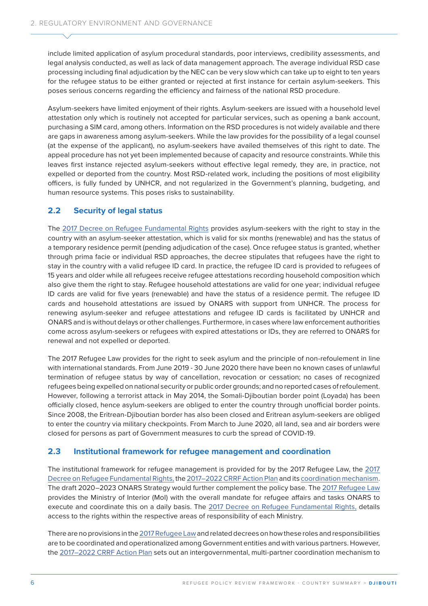include limited application of asylum procedural standards, poor interviews, credibility assessments, and legal analysis conducted, as well as lack of data management approach. The average individual RSD case processing including final adjudication by the NEC can be very slow which can take up to eight to ten years for the refugee status to be either granted or rejected at first instance for certain asylum-seekers. This poses serious concerns regarding the efficiency and fairness of the national RSD procedure.

Asylum-seekers have limited enjoyment of their rights. Asylum-seekers are issued with a household level attestation only which is routinely not accepted for particular services, such as opening a bank account, purchasing a SIM card, among others. Information on the RSD procedures is not widely available and there are gaps in awareness among asylum-seekers. While the law provides for the possibility of a legal counsel (at the expense of the applicant), no asylum-seekers have availed themselves of this right to date. The appeal procedure has not yet been implemented because of capacity and resource constraints. While this leaves first instance rejected asylum-seekers without effective legal remedy, they are, in practice, not expelled or deported from the country. Most RSD-related work, including the positions of most eligibility officers, is fully funded by UNHCR, and not regularized in the Government's planning, budgeting, and human resource systems. This poses risks to sustainability.

### **2.2 Security of legal status**

The [2017 Decree on Refugee Fundamental Rights](https://www.presidence.dj/texte.php?ID=2017-410&ID2=2017-12-07&ID3=D%E9cret&ID4=23&ID5=2017-12-14&ID6=n) provides asylum-seekers with the right to stay in the country with an asylum-seeker attestation, which is valid for six months (renewable) and has the status of a temporary residence permit (pending adjudication of the case). Once refugee status is granted, whether through prima facie or individual RSD approaches, the decree stipulates that refugees have the right to stay in the country with a valid refugee ID card. In practice, the refugee ID card is provided to refugees of 15 years and older while all refugees receive refugee attestations recording household composition which also give them the right to stay. Refugee household attestations are valid for one year; individual refugee ID cards are valid for five years (renewable) and have the status of a residence permit. The refugee ID cards and household attestations are issued by ONARS with support from UNHCR. The process for renewing asylum-seeker and refugee attestations and refugee ID cards is facilitated by UNHCR and ONARS and is without delays or other challenges. Furthermore, in cases where law enforcement authorities come across asylum-seekers or refugees with expired attestations or IDs, they are referred to ONARS for renewal and not expelled or deported.

The 2017 Refugee Law provides for the right to seek asylum and the principle of non-refoulement in line with international standards. From June 2019 - 30 June 2020 there have been no known cases of unlawful termination of refugee status by way of cancellation, revocation or cessation; no cases of recognized refugees being expelled on national security or public order grounds; and no reported cases of refoulement. However, following a terrorist attack in May 2014, the Somali-Djiboutian border point (Loyada) has been officially closed, hence asylum-seekers are obliged to enter the country through unofficial border points. Since 2008, the Eritrean-Djiboutian border has also been closed and Eritrean asylum-seekers are obliged to enter the country via military checkpoints. From March to June 2020, all land, sea and air borders were closed for persons as part of Government measures to curb the spread of COVID-19.

### **2.3 Institutional framework for refugee management and coordination**

The institutional framework for refugee management is provided for by the 2017 Refugee Law, the [2017](https://www.presidence.dj/texte.php?ID=2017-410&ID2=2017-12-07&ID3=D%E9cret&ID4=23&ID5=2017-12-14&ID6=n)  [Decree on Refugee Fundamental Rights,](https://www.presidence.dj/texte.php?ID=2017-410&ID2=2017-12-07&ID3=D%E9cret&ID4=23&ID5=2017-12-14&ID6=n) the [2017–2022 CRRF Action Plan](about:blank) and its [coordination mechanism](https://teams.microsoft.com/l/file/4BB495D1-6BAC-4BAF-A1A8-28546D1E30AB?tenantId=e5c37981-6664-4134-8a0c-6543d2af80be&fileType=pdf&objectUrl=https%3A%2F%2Funhcr365.sharepoint.com%2Fteams%2Fdrs-dpcp-RefugeeProtectionAssessmentPrivate%2FShared%20Documents%2FRefugee%20Protection%20Assessment%20(Private)%2FData%20collection%20templates%20-%20RPRF%2FDjibouti%2FDocuments%2FM%C3%A9canismes%20de%20facilitation%20CRRF%20%C3%A0%20Djibouti%20FR.pdf&baseUrl=https%3A%2F%2Funhcr365.sharepoint.com%2Fteams%2Fdrs-dpcp-RefugeeProtectionAssessmentPrivate&serviceName=teams&threadId=19:c4c08892c23a468b8829b4d19c16502d@thread.skype&groupId=1e3dd932-ee2d-442b-b2d5-d97d9711413a). The draft 2020–2023 ONARS Strategy would further complement the policy base. The [2017 Refugee Law](https://www.presidence.dj/texte.php?ID=159&ID2=2017-01-05&ID3=Loi&ID4=1&ID5=2017-01-15&ID6=n) provides the Ministry of Interior (MoI) with the overall mandate for refugee affairs and tasks ONARS to execute and coordinate this on a daily basis. The [2017 Decree on Refugee Fundamental Rights,](https://www.presidence.dj/texte.php?ID=2017-410&ID2=2017-12-07&ID3=D%E9cret&ID4=23&ID5=2017-12-14&ID6=n) details access to the rights within the respective areas of responsibility of each Ministry.

There are no provisions in the [2017 Refugee Law](https://www.presidence.dj/texte.php?ID=159&ID2=2017-01-05&ID3=Loi&ID4=1&ID5=2017-01-15&ID6=n) and related decrees on how these roles and responsibilities are to be coordinated and operationalized among Government entities and with various partners. However, the [2017–2022 CRRF Action Plan](https://globalcompactrefugees.org/sites/default/files/2019-12/Djibouti%20Plan%20d%E2%80%99Action%20National%20CRRF%20%282017%29.pdf) sets out an intergovernmental, multi-partner coordination mechanism to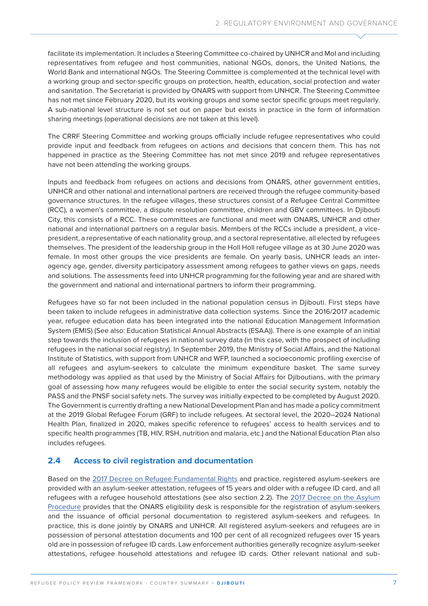facilitate its implementation. It includes a Steering Committee co-chaired by UNHCR and MoI and including representatives from refugee and host communities, national NGOs, donors, the United Nations, the World Bank and international NGOs. The Steering Committee is complemented at the technical level with a working group and sector-specific groups on protection, health, education, social protection and water and sanitation. The Secretariat is provided by ONARS with support from UNHCR. The Steering Committee has not met since February 2020, but its working groups and some sector specific groups meet regularly. A sub-national level structure is not set out on paper but exists in practice in the form of information sharing meetings (operational decisions are not taken at this level).

The CRRF Steering Committee and working groups officially include refugee representatives who could provide input and feedback from refugees on actions and decisions that concern them. This has not happened in practice as the Steering Committee has not met since 2019 and refugee representatives have not been attending the working groups.

Inputs and feedback from refugees on actions and decisions from ONARS, other government entities, UNHCR and other national and international partners are received through the refugee community-based governance structures. In the refugee villages, these structures consist of a Refugee Central Committee (RCC), a women's committee, a dispute resolution committee, children and GBV committees. In Djibouti City, this consists of a RCC. These committees are functional and meet with ONARS, UNHCR and other national and international partners on a regular basis. Members of the RCCs include a president, a vicepresident, a representative of each nationality group, and a sectoral representative, all elected by refugees themselves. The president of the leadership group in the Holl Holl refugee village as at 30 June 2020 was female. In most other groups the vice presidents are female. On yearly basis, UNHCR leads an interagency age, gender, diversity participatory assessment among refugees to gather views on gaps, needs and solutions. The assessments feed into UNHCR programming for the following year and are shared with the government and national and international partners to inform their programming.

Refugees have so far not been included in the national population census in Djibouti. First steps have been taken to include refugees in administrative data collection systems. Since the 2016/2017 academic year, refugee education data has been integrated into the national Education Management Information System (EMIS) (See also: Education Statistical Annual Abstracts (ESAA)). There is one example of an initial step towards the inclusion of refugees in national survey data (in this case, with the prospect of including refugees in the national social registry). In September 2019, the Ministry of Social Affairs, and the National Institute of Statistics, with support from UNHCR and WFP, launched a socioeconomic profiling exercise of all refugees and asylum-seekers to calculate the minimum expenditure basket. The same survey methodology was applied as that used by the Ministry of Social Affairs for Djiboutians, with the primary goal of assessing how many refugees would be eligible to enter the social security system, notably the PASS and the PNSF social safety nets. The survey was initially expected to be completed by August 2020. The Government is currently drafting a new National Development Plan and has made a policy commitment at the 2019 Global Refugee Forum (GRF) to include refugees. At sectoral level, the 2020–2024 National Health Plan, finalized in 2020, makes specific reference to refugees' access to health services and to specific health programmes (TB, HIV, RSH, nutrition and malaria, etc.) and the National Education Plan also includes refugees.

### **2.4 Access to civil registration and documentation**

Based on the [2017 Decree on Refugee Fundamental Rights](https://www.presidence.dj/texte.php?ID=2017-410&ID2=2017-12-07&ID3=D%E9cret&ID4=23&ID5=2017-12-14&ID6=n) and practice, registered asylum-seekers are provided with an asylum-seeker attestation, refugees of 15 years and older with a refugee ID card, and all refugees with a refugee household attestations (see also section 2.2). The [2017 Decree on the Asylum](https://www.presidence.dj/texte.php?ID=2017-409&ID2=2017-12-07&ID3=D%E9cret&ID4=23&ID5=2017-12-14&ID6=n)  [Procedure](https://www.presidence.dj/texte.php?ID=2017-409&ID2=2017-12-07&ID3=D%E9cret&ID4=23&ID5=2017-12-14&ID6=n) provides that the ONARS eligibility desk is responsible for the registration of asylum-seekers and the issuance of official personal documentation to registered asylum-seekers and refugees. In practice, this is done jointly by ONARS and UNHCR. All registered asylum-seekers and refugees are in possession of personal attestation documents and 100 per cent of all recognized refugees over 15 years old are in possession of refugee ID cards. Law enforcement authorities generally recognize asylum-seeker attestations, refugee household attestations and refugee ID cards. Other relevant national and sub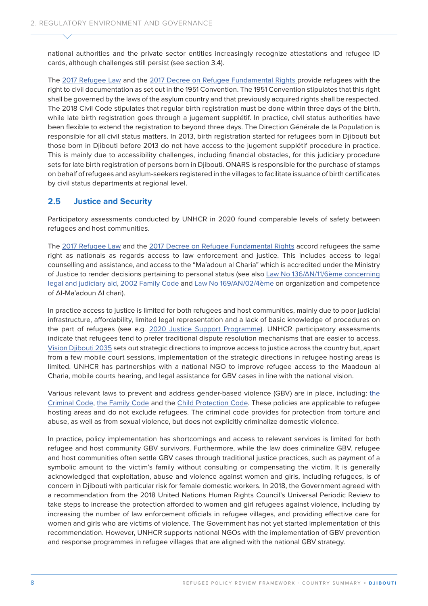national authorities and the private sector entities increasingly recognize attestations and refugee ID cards, although challenges still persist (see section 3.4).

The [2017 Refugee Law](https://www.presidence.dj/texte.php?ID=159&ID2=2017-01-05&ID3=Loi&ID4=1&ID5=2017-01-15&ID6=n) and the [2017 Decree on Refugee Fundamental Rights](https://www.presidence.dj/texte.php?ID=2017-410&ID2=2017-12-07&ID3=D%E9cret&ID4=23&ID5=2017-12-14&ID6=n) provide refugees with the right to civil documentation as set out in the 1951 Convention. The 1951 Convention stipulates that this right shall be governed by the laws of the asylum country and that previously acquired rights shall be respected. The [2018 Civil Code](about:blank) stipulates that regular birth registration must be done within three days of the birth, while late birth registration goes through a jugement supplétif. In practice, civil status authorities have been flexible to extend the registration to beyond three days. The Direction Générale de la Population is responsible for all civil status matters. In 2013, birth registration started for refugees born in Djibouti but those born in Djibouti before 2013 do not have access to the jugement supplétif procedure in practice. This is mainly due to accessibility challenges, including financial obstacles, for this judiciary procedure sets for late birth registration of persons born in Djibouti. ONARS is responsible for the purchase of stamps on behalf of refugees and asylum-seekers registered in the villages to facilitate issuance of birth certificates by civil status departments at regional level.

### **2.5 Justice and Security**

Participatory assessments conducted by UNHCR in 2020 found comparable levels of safety between refugees and host communities.

The [2017 Refugee Law](https://www.presidence.dj/texte.php?ID=159&ID2=2017-01-05&ID3=Loi&ID4=1&ID5=2017-01-15&ID6=n) and the [2017 Decree on Refugee Fundamental Rights](https://www.presidence.dj/texte.php?ID=2017-410&ID2=2017-12-07&ID3=D%E9cret&ID4=23&ID5=2017-12-14&ID6=n) accord refugees the same right as nationals as regards access to law enforcement and justice. This includes access to legal counselling and assistance, and access to the "Ma'adoun al Charia" which is accredited under the Ministry of Justice to render decisions pertaining to personal status (see also [Law No 136/AN/11/6ème concerning](https://justice.gouv.dj/pages/DetailPages/45)  [legal and judiciary aid,](https://justice.gouv.dj/pages/DetailPages/45) [2002 Family Code](https://unhcr365.sharepoint.com/teams/drs-dpcp-RefugeeProtectionAssessmentPrivate/Shared%20Documents/Refugee%20Protection%20Assessment%20(Private)/FINAL%20RPRFs/Baseline%20as%20of%2030%20June%202020/Djibouti/CodeFamille.pdf) and [Law No 169/AN/02/4ème](https://www.presidence.dj/PresidenceOld/LES%20TEXTES/loi169an02.htm) on organization and competence of Al-Ma'adoun Al chari).

In practice access to justice is limited for both refugees and host communities, mainly due to poor judicial infrastructure, affordability, limited legal representation and a lack of basic knowledge of procedures on the part of refugees (see e.g. [2020 Justice Support Programme\)](https://info.undp.org/docs/pdc/Documents/DJI/PRODOC%20EU%20JUSTICE.pdf). UNHCR participatory assessments indicate that refugees tend to prefer traditional dispute resolution mechanisms that are easier to access. [Vision Djibouti 2035](https://www.ccd.dj/w2017/wp-content/uploads/2016/01/Vision-Nationale.pdf) sets out strategic directions to improve access to justice across the country but, apart from a few mobile court sessions, implementation of the strategic directions in refugee hosting areas is limited. UNHCR has partnerships with a national NGO to improve refugee access to the Maadoun al Charia, mobile courts hearing, and legal assistance for GBV cases in line with the national vision.

Various relevant laws to prevent and address gender-based violence (GBV) are in place, including: [the](https://www.presidence.dj/PresidenceOld/LES%20TEXTES/decr0038pr95.htm)  [Criminal Code,](https://www.presidence.dj/PresidenceOld/LES%20TEXTES/decr0038pr95.htm) [the Family Code](https://unhcr365.sharepoint.com/teams/drs-dpcp-RefugeeProtectionAssessmentPrivate/Shared%20Documents/Refugee%20Protection%20Assessment%20(Private)/FINAL%20RPRFs/Baseline%20as%20of%2030%20June%202020/Djibouti/CodeFamille.pdf) and the [Child Protection Code.](https://www.ilo.org/dyn/natlex/docs/ELECTRONIC/99276/118428/F-772599564/DJI-99276.pdf) These policies are applicable to refugee hosting areas and do not exclude refugees. The criminal code provides for protection from torture and abuse, as well as from sexual violence, but does not explicitly criminalize domestic violence.

In practice, policy implementation has shortcomings and access to relevant services is limited for both refugee and host community GBV survivors. Furthermore, while the law does criminalize GBV, refugee and host communities often settle GBV cases through traditional justice practices, such as payment of a symbolic amount to the victim's family without consulting or compensating the victim. It is generally acknowledged that exploitation, abuse and violence against women and girls, including refugees, is of concern in Djibouti with particular risk for female domestic workers. In 2018, the Government agreed with a recommendation from the 2018 United Nations Human Rights Council's Universal Periodic Review to take steps to increase the protection afforded to women and girl refugees against violence, including by increasing the number of law enforcement officials in refugee villages, and providing effective care for women and girls who are victims of violence. The Government has not yet started implementation of this recommendation. However, UNHCR supports national NGOs with the implementation of GBV prevention and response programmes in refugee villages that are aligned with the national GBV strategy.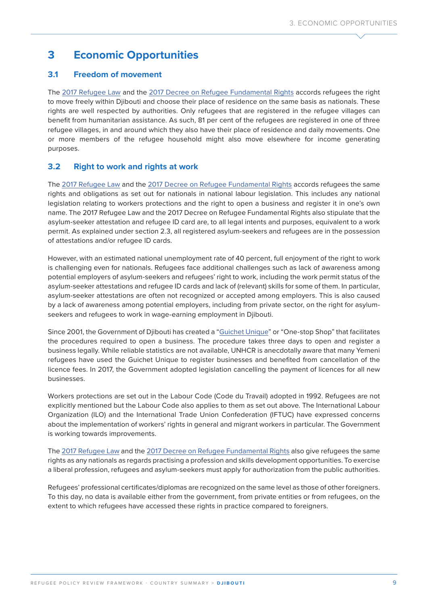# **3 Economic Opportunities**

### **3.1 Freedom of movement**

The [2017 Refugee Law](https://www.presidence.dj/texte.php?ID=159&ID2=2017-01-05&ID3=Loi&ID4=1&ID5=2017-01-15&ID6=n) and the [2017 Decree on Refugee Fundamental Rights](https://www.presidence.dj/texte.php?ID=2017-410&ID2=2017-12-07&ID3=D%E9cret&ID4=23&ID5=2017-12-14&ID6=n) accords refugees the right to move freely within Djibouti and choose their place of residence on the same basis as nationals. These rights are well respected by authorities. Only refugees that are registered in the refugee villages can benefit from humanitarian assistance. As such, 81 per cent of the refugees are registered in one of three refugee villages, in and around which they also have their place of residence and daily movements. One or more members of the refugee household might also move elsewhere for income generating purposes.

### **3.2 Right to work and rights at work**

The [2017 Refugee Law](https://www.presidence.dj/texte.php?ID=159&ID2=2017-01-05&ID3=Loi&ID4=1&ID5=2017-01-15&ID6=n) and the [2017 Decree on Refugee Fundamental Rights](https://www.presidence.dj/texte.php?ID=2017-410&ID2=2017-12-07&ID3=D%E9cret&ID4=23&ID5=2017-12-14&ID6=n) accords refugees the same rights and obligations as set out for nationals in national labour legislation. This includes any national legislation relating to workers protections and the right to open a business and register it in one's own name. The 2017 Refugee Law and the 2017 Decree on Refugee Fundamental Rights also stipulate that the asylum-seeker attestation and refugee ID card are, to all legal intents and purposes, equivalent to a work permit. As explained under section 2.3, all registered asylum-seekers and refugees are in the possession of attestations and/or refugee ID cards.

However, with an estimated national unemployment rate of 40 percent, full enjoyment of the right to work is challenging even for nationals. Refugees face additional challenges such as lack of awareness among potential employers of asylum-seekers and refugees' right to work, including the work permit status of the asylum-seeker attestations and refugee ID cards and lack of (relevant) skills for some of them. In particular, asylum-seeker attestations are often not recognized or accepted among employers. This is also caused by a lack of awareness among potential employers, including from private sector, on the right for asylumseekers and refugees to work in wage-earning employment in Djibouti.

Since 2001, the Government of Djibouti has created a ["Guichet Unique](http://www.guichet-unique.dj/)" or "One-stop Shop" that facilitates the procedures required to open a business. The procedure takes three days to open and register a business legally. While reliable statistics are not available, UNHCR is anecdotally aware that many Yemeni refugees have used the Guichet Unique to register businesses and benefited from cancellation of the licence fees. In 2017, the Government adopted legislation cancelling the payment of licences for all new businesses.

Workers protections are set out in the Labour Code (Code du Travail) adopted in 1992. Refugees are not explicitly mentioned but the Labour Code also applies to them as set out above. The International Labour Organization (ILO) and the International Trade Union Confederation (IFTUC) have expressed concerns about the implementation of workers' rights in general and migrant workers in particular. The Government is working towards improvements.

The [2017 Refugee Law](https://www.presidence.dj/texte.php?ID=159&ID2=2017-01-05&ID3=Loi&ID4=1&ID5=2017-01-15&ID6=n) and the [2017 Decree on Refugee Fundamental Rights](https://www.presidence.dj/texte.php?ID=2017-410&ID2=2017-12-07&ID3=D%E9cret&ID4=23&ID5=2017-12-14&ID6=n) also give refugees the same rights as any nationals as regards practising a profession and skills development opportunities. To exercise a liberal profession, refugees and asylum-seekers must apply for authorization from the public authorities.

Refugees' professional certificates/diplomas are recognized on the same level as those of other foreigners. To this day, no data is available either from the government, from private entities or from refugees, on the extent to which refugees have accessed these rights in practice compared to foreigners.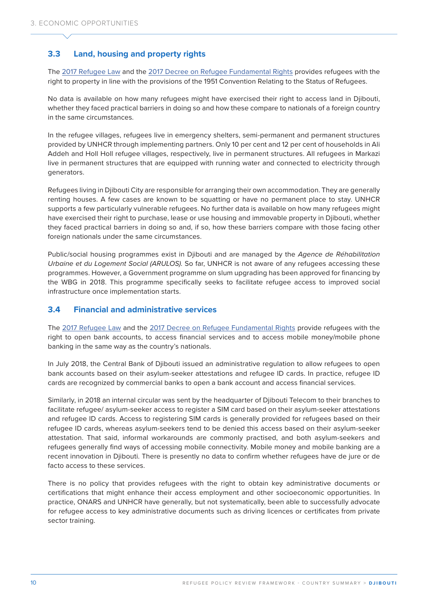### **3.3 Land, housing and property rights**

The [2017 Refugee Law](https://www.presidence.dj/texte.php?ID=159&ID2=2017-01-05&ID3=Loi&ID4=1&ID5=2017-01-15&ID6=n) and the [2017 Decree on Refugee Fundamental Rights](https://www.presidence.dj/texte.php?ID=2017-410&ID2=2017-12-07&ID3=D%E9cret&ID4=23&ID5=2017-12-14&ID6=n) provides refugees with the right to property in line with the provisions of the 1951 Convention Relating to the Status of Refugees.

No data is available on how many refugees might have exercised their right to access land in Djibouti, whether they faced practical barriers in doing so and how these compare to nationals of a foreign country in the same circumstances.

In the refugee villages, refugees live in emergency shelters, semi-permanent and permanent structures provided by UNHCR through implementing partners. Only 10 per cent and 12 per cent of households in Ali Addeh and Holl Holl refugee villages, respectively, live in permanent structures. All refugees in Markazi live in permanent structures that are equipped with running water and connected to electricity through generators.

Refugees living in Diibouti City are responsible for arranging their own accommodation. They are generally renting houses. A few cases are known to be squatting or have no permanent place to stay. UNHCR supports a few particularly vulnerable refugees. No further data is available on how many refugees might have exercised their right to purchase, lease or use housing and immovable property in Djibouti, whether they faced practical barriers in doing so and, if so, how these barriers compare with those facing other foreign nationals under the same circumstances.

Public/social housing programmes exist in Djibouti and are managed by the *Agence de Réhabilitation Urbaine et du Logement Social (ARULOS)*. So far, UNHCR is not aware of any refugees accessing these programmes. However, a Government programme on slum upgrading has been approved for financing by the WBG in 2018. This programme specifically seeks to facilitate refugee access to improved social infrastructure once implementation starts.

#### **3.4 Financial and administrative services**

The [2017 Refugee Law](https://www.presidence.dj/texte.php?ID=159&ID2=2017-01-05&ID3=Loi&ID4=1&ID5=2017-01-15&ID6=n) and the [2017 Decree on Refugee Fundamental Rights](https://www.presidence.dj/texte.php?ID=2017-410&ID2=2017-12-07&ID3=D%E9cret&ID4=23&ID5=2017-12-14&ID6=n) provide refugees with the right to open bank accounts, to access financial services and to access mobile money/mobile phone banking in the same way as the country's nationals.

In July 2018, the Central Bank of Djibouti issued an administrative regulation to allow refugees to open bank accounts based on their asylum-seeker attestations and refugee ID cards. In practice, refugee ID cards are recognized by commercial banks to open a bank account and access financial services.

Similarly, in 2018 an internal circular was sent by the headquarter of Djibouti Telecom to their branches to facilitate refugee/ asylum-seeker access to register a SIM card based on their asylum-seeker attestations and refugee ID cards. Access to registering SIM cards is generally provided for refugees based on their refugee ID cards, whereas asylum-seekers tend to be denied this access based on their asylum-seeker attestation. That said, informal workarounds are commonly practised, and both asylum-seekers and refugees generally find ways of accessing mobile connectivity. Mobile money and mobile banking are a recent innovation in Djibouti. There is presently no data to confirm whether refugees have de jure or de facto access to these services.

There is no policy that provides refugees with the right to obtain key administrative documents or certifications that might enhance their access employment and other socioeconomic opportunities. In practice, ONARS and UNHCR have generally, but not systematically, been able to successfully advocate for refugee access to key administrative documents such as driving licences or certificates from private sector training.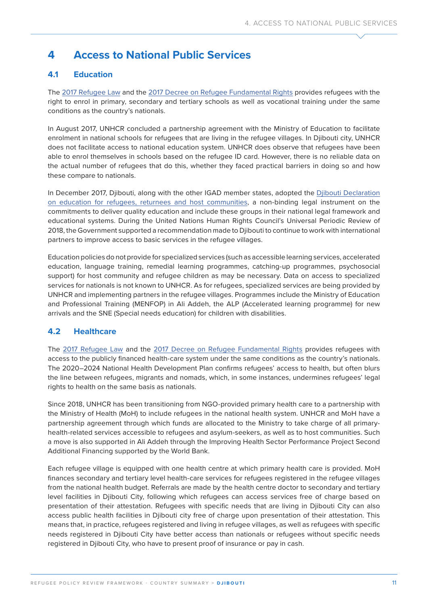# **4 Access to National Public Services**

### **4.1 Education**

The [2017 Refugee Law](https://www.presidence.dj/texte.php?ID=159&ID2=2017-01-05&ID3=Loi&ID4=1&ID5=2017-01-15&ID6=n) and the [2017 Decree on Refugee Fundamental Rights](https://www.presidence.dj/texte.php?ID=2017-410&ID2=2017-12-07&ID3=D%E9cret&ID4=23&ID5=2017-12-14&ID6=n) provides refugees with the right to enrol in primary, secondary and tertiary schools as well as vocational training under the same conditions as the country's nationals.

In August 2017, UNHCR concluded a partnership agreement with the Ministry of Education to facilitate enrolment in national schools for refugees that are living in the refugee villages. In Djibouti city, UNHCR does not facilitate access to national education system. UNHCR does observe that refugees have been able to enrol themselves in schools based on the refugee ID card. However, there is no reliable data on the actual number of refugees that do this, whether they faced practical barriers in doing so and how these compare to nationals.

In December 2017, Djibouti, along with the other IGAD member states, adopted the [Djibouti Declaration](https://igad.int/attachments/article/1725/Djibouti%20Declaration%20on%20Refugee%20Education.pdf)  [on education for refugees, returnees and host communities](https://igad.int/attachments/article/1725/Djibouti%20Declaration%20on%20Refugee%20Education.pdf), a non-binding legal instrument on the commitments to deliver quality education and include these groups in their national legal framework and educational systems. During the United Nations Human Rights Council's Universal Periodic Review of 2018, the Government supported a recommendation made to Djibouti to continue to work with international partners to improve access to basic services in the refugee villages.

Education policies do not provide for specialized services (such as accessible learning services, accelerated education, language training, remedial learning programmes, catching-up programmes, psychosocial support) for host community and refugee children as may be necessary. Data on access to specialized services for nationals is not known to UNHCR. As for refugees, specialized services are being provided by UNHCR and implementing partners in the refugee villages. Programmes include the Ministry of Education and Professional Training (MENFOP) in Ali Addeh, the ALP (Accelerated learning programme) for new arrivals and the SNE (Special needs education) for children with disabilities.

### **4.2 Healthcare**

The [2017 Refugee Law](https://www.presidence.dj/texte.php?ID=159&ID2=2017-01-05&ID3=Loi&ID4=1&ID5=2017-01-15&ID6=n) and the [2017 Decree on Refugee Fundamental Rights](https://www.presidence.dj/texte.php?ID=2017-410&ID2=2017-12-07&ID3=D%E9cret&ID4=23&ID5=2017-12-14&ID6=n) provides refugees with access to the publicly financed health-care system under the same conditions as the country's nationals. The 2020–2024 National Health Development Plan confirms refugees' access to health, but often blurs the line between refugees, migrants and nomads, which, in some instances, undermines refugees' legal rights to health on the same basis as nationals.

Since 2018, UNHCR has been transitioning from NGO-provided primary health care to a partnership with the Ministry of Health (MoH) to include refugees in the national health system. UNHCR and MoH have a partnership agreement through which funds are allocated to the Ministry to take charge of all primaryhealth-related services accessible to refugees and asylum-seekers, as well as to host communities. Such a move is also supported in Ali Addeh through the Improving Health Sector Performance Project Second Additional Financing supported by the World Bank.

Each refugee village is equipped with one health centre at which primary health care is provided. MoH finances secondary and tertiary level health-care services for refugees registered in the refugee villages from the national health budget. Referrals are made by the health centre doctor to secondary and tertiary level facilities in Djibouti City, following which refugees can access services free of charge based on presentation of their attestation. Refugees with specific needs that are living in Djibouti City can also access public health facilities in Djibouti city free of charge upon presentation of their attestation. This means that, in practice, refugees registered and living in refugee villages, as well as refugees with specific needs registered in Djibouti City have better access than nationals or refugees without specific needs registered in Djibouti City, who have to present proof of insurance or pay in cash.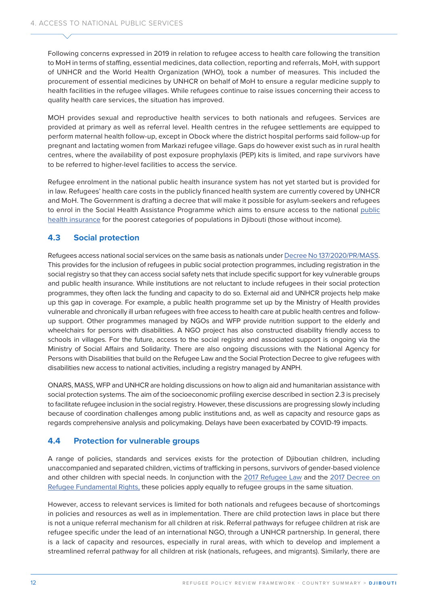Following concerns expressed in 2019 in relation to refugee access to health care following the transition to MoH in terms of staffing, essential medicines, data collection, reporting and referrals, MoH, with support of UNHCR and the World Health Organization (WHO), took a number of measures. This included the procurement of essential medicines by UNHCR on behalf of MoH to ensure a regular medicine supply to health facilities in the refugee villages. While refugees continue to raise issues concerning their access to quality health care services, the situation has improved.

MOH provides sexual and reproductive health services to both nationals and refugees. Services are provided at primary as well as referral level. Health centres in the refugee settlements are equipped to perform maternal health follow-up, except in Obock where the district hospital performs said follow-up for pregnant and lactating women from Markazi refugee village. Gaps do however exist such as in rural health centres, where the availability of post exposure prophylaxis (PEP) kits is limited, and rape survivors have to be referred to higher-level facilities to access the service.

Refugee enrolment in the national public health insurance system has not yet started but is provided for in law. Refugees' health care costs in the publicly financed health system are currently covered by UNHCR and MoH. The Government is drafting a decree that will make it possible for asylum-seekers and refugees to enrol in the Social Health Assistance Programme which aims to ensure access to the national [public](http://www.ilo.org/dyn/natlex/docs/ELECTRONIC/95524/112495/F544281799/DJI-95524.pdf)  [health insurance](http://www.ilo.org/dyn/natlex/docs/ELECTRONIC/95524/112495/F544281799/DJI-95524.pdf) for the poorest categories of populations in Djibouti (those without income).

### **4.3 Social protection**

Refugees access national social services on the same basis as nationals under [Decree No 137/2020/PR/MASS](https://www.presidence.dj/texte.php?ID=2020-137&ID2=2020-07-08&ID3=D%E9cret&ID4=13&ID5=2020-07-13&ID6=n). This provides for the inclusion of refugees in public social protection programmes, including registration in the social registry so that they can access social safety nets that include specific support for key vulnerable groups and public health insurance. While institutions are not reluctant to include refugees in their social protection programmes, they often lack the funding and capacity to do so. External aid and UNHCR projects help make up this gap in coverage. For example, a public health programme set up by the Ministry of Health provides vulnerable and chronically ill urban refugees with free access to health care at public health centres and followup support. Other programmes managed by NGOs and WFP provide nutrition support to the elderly and wheelchairs for persons with disabilities. A NGO project has also constructed disability friendly access to schools in villages. For the future, access to the social registry and associated support is ongoing via the Ministry of Social Affairs and Solidarity. There are also ongoing discussions with the National Agency for Persons with Disabilities that build on the Refugee Law and the Social Protection Decree to give refugees with disabilities new access to national activities, including a registry managed by ANPH.

ONARS, MASS, WFP and UNHCR are holding discussions on how to align aid and humanitarian assistance with social protection systems. The aim of the socioeconomic profiling exercise described in section 2.3 is precisely to facilitate refugee inclusion in the social registry. However, these discussions are progressing slowly including because of coordination challenges among public institutions and, as well as capacity and resource gaps as regards comprehensive analysis and policymaking. Delays have been exacerbated by COVID-19 impacts.

### **4.4 Protection for vulnerable groups**

A range of policies, standards and services exists for the protection of Djiboutian children, including unaccompanied and separated children, victims of trafficking in persons, survivors of gender-based violence and other children with special needs. In conjunction with the [2017 Refugee Law](https://www.presidence.dj/texte.php?ID=159&ID2=2017-01-05&ID3=Loi&ID4=1&ID5=2017-01-15&ID6=n) and the [2017 Decree on](https://www.presidence.dj/texte.php?ID=2017-410&ID2=2017-12-07&ID3=D%E9cret&ID4=23&ID5=2017-12-14&ID6=n)  [Refugee Fundamental Rights](https://www.presidence.dj/texte.php?ID=2017-410&ID2=2017-12-07&ID3=D%E9cret&ID4=23&ID5=2017-12-14&ID6=n), these policies apply equally to refugee groups in the same situation.

However, access to relevant services is limited for both nationals and refugees because of shortcomings in policies and resources as well as in implementation. There are child protection laws in place but there is not a unique referral mechanism for all children at risk. Referral pathways for refugee children at risk are refugee specific under the lead of an international NGO, through a UNHCR partnership. In general, there is a lack of capacity and resources, especially in rural areas, with which to develop and implement a streamlined referral pathway for all children at risk (nationals, refugees, and migrants). Similarly, there are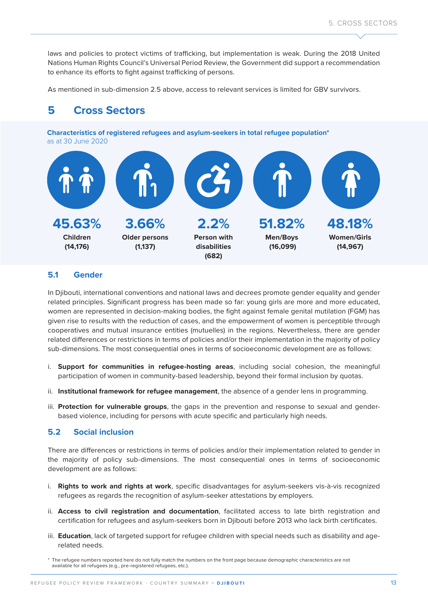laws and policies to protect victims of trafficking, but implementation is weak. During the 2018 United Nations Human Rights Council's Universal Period Review, the Government did support a recommendation to enhance its efforts to fight against trafficking of persons.

As mentioned in sub-dimension 2.5 above, access to relevant services is limited for GBV survivors.

## **5 Cross Sectors**

**Characteristics of registered refugees and asylum-seekers in total refugee population\***  as at 30 June 2020



#### **5.1 Gender**

In Djibouti, international conventions and national laws and decrees promote gender equality and gender related principles. Significant progress has been made so far: young girls are more and more educated, women are represented in decision-making bodies, the fight against female genital mutilation (FGM) has given rise to results with the reduction of cases, and the empowerment of women is perceptible through cooperatives and mutual insurance entities (mutuelles) in the regions. Nevertheless, there are gender related differences or restrictions in terms of policies and/or their implementation in the majority of policy sub-dimensions. The most consequential ones in terms of socioeconomic development are as follows:

- i. **Support for communities in refugee-hosting areas**, including social cohesion, the meaningful participation of women in community-based leadership, beyond their formal inclusion by quotas.
- ii. **Institutional framework for refugee management**, the absence of a gender lens in programming.
- iii. **Protection for vulnerable groups**, the gaps in the prevention and response to sexual and genderbased violence, including for persons with acute specific and particularly high needs.

### **5.2 Social inclusion**

There are differences or restrictions in terms of policies and/or their implementation related to gender in the majority of policy sub-dimensions. The most consequential ones in terms of socioeconomic development are as follows:

- i. **Rights to work and rights at work**, specific disadvantages for asylum-seekers vis-à-vis recognized refugees as regards the recognition of asylum-seeker attestations by employers.
- ii. **Access to civil registration and documentation**, facilitated access to late birth registration and certification for refugees and asylum-seekers born in Djibouti before 2013 who lack birth certificates.
- iii. **Education**, lack of targeted support for refugee children with special needs such as disability and agerelated needs.

<sup>\*</sup> The refugee numbers reported here do not fully match the numbers on the front page because demographic characteristics are not available for all refugees (e.g., pre-registered refugees, etc.).